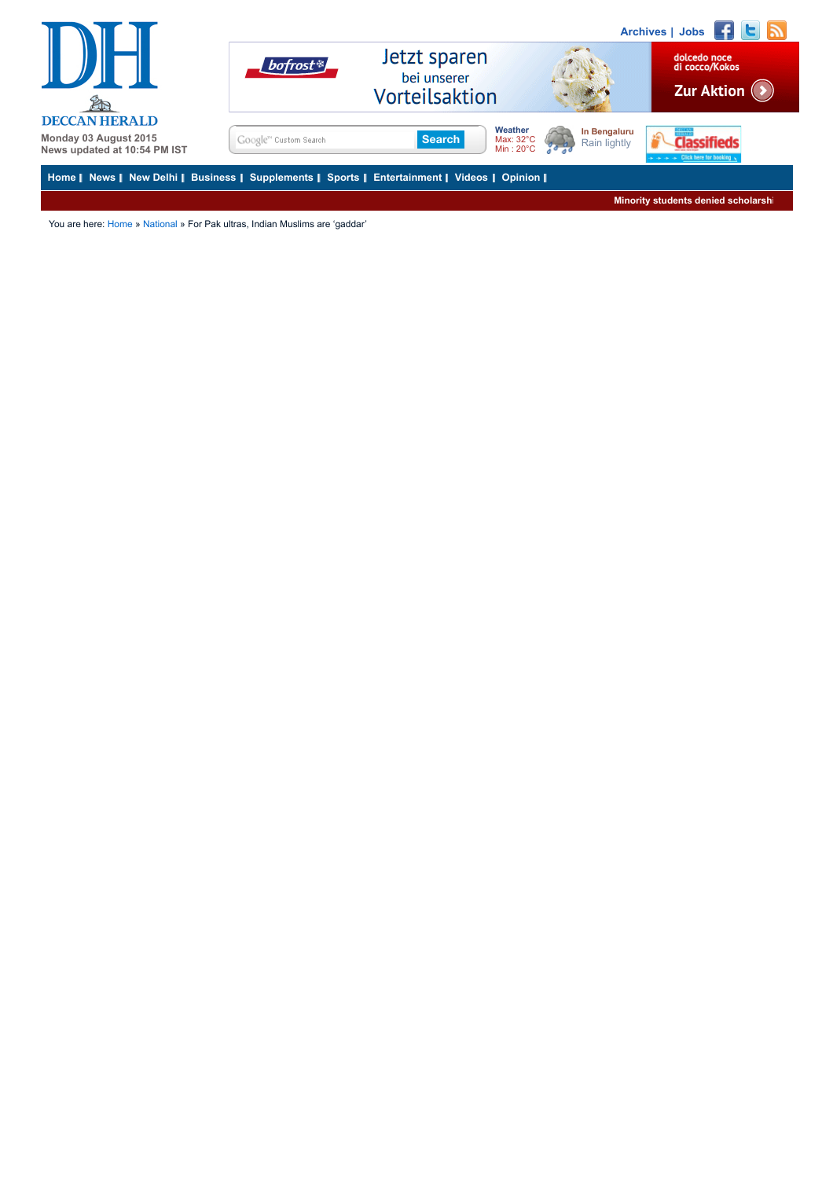

You are here: [Home](http://www.deccanherald.com/) » [National](http://www.deccanherald.com/contents/70/national.html) » For Pak ultras, Indian Muslims are 'gaddar'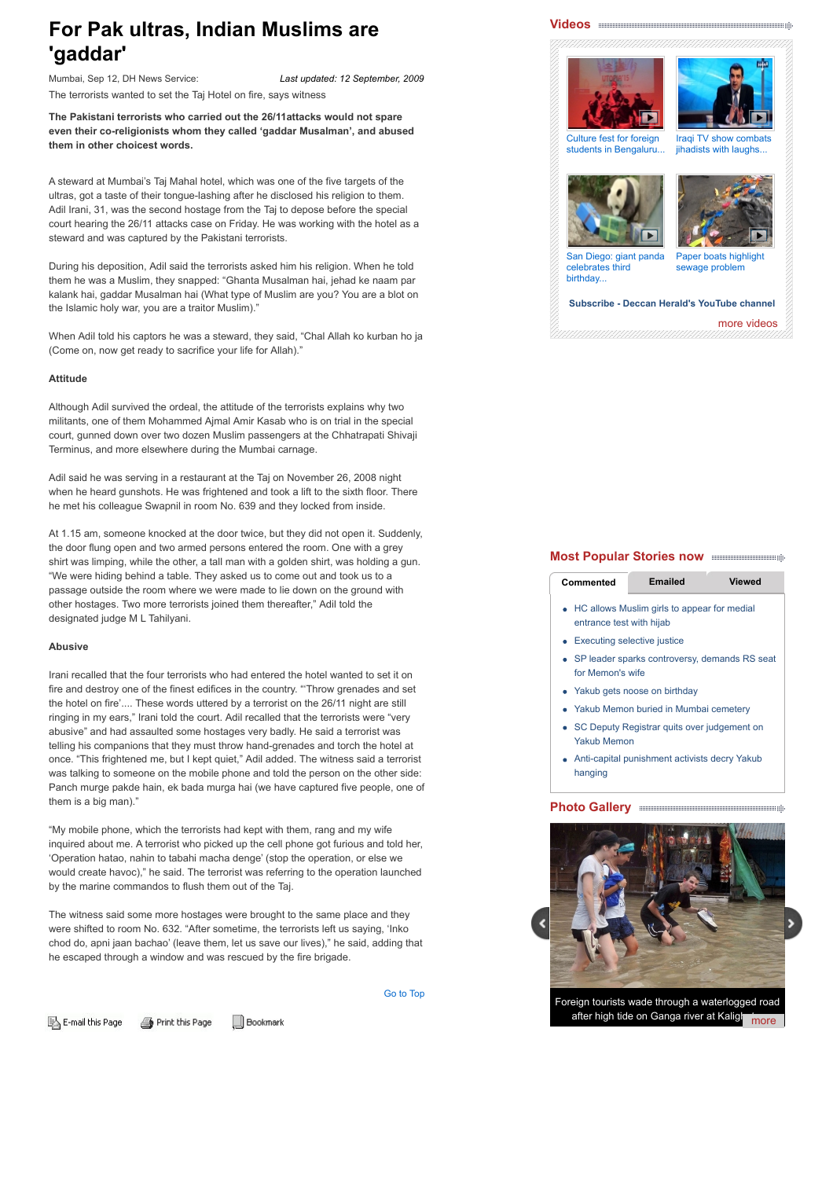# **For Pak ultras, Indian Muslims are 'gaddar'**

*Last updated: 12 September, 2009* Mumbai, Sep 12, DH News Service: The terrorists wanted to set the Taj Hotel on fire, says witness

**The Pakistani terrorists who carried out the 26/11attacks would not spare even their co-religionists whom they called 'gaddar Musalman', and abused them in other choicest words.**

A steward at Mumbai's Taj Mahal hotel, which was one of the five targets of the ultras, got a taste of their tongue-lashing after he disclosed his religion to them. Adil Irani, 31, was the second hostage from the Taj to depose before the special court hearing the 26/11 attacks case on Friday. He was working with the hotel as a steward and was captured by the Pakistani terrorists.

During his deposition, Adil said the terrorists asked him his religion. When he told them he was a Muslim, they snapped: "Ghanta Musalman hai, jehad ke naam par kalank hai, gaddar Musalman hai (What type of Muslim are you? You are a blot on the Islamic holy war, you are a traitor Muslim)."

When Adil told his captors he was a steward, they said, "Chal Allah ko kurban ho ja (Come on, now get ready to sacrifice your life for Allah)."

#### **Attitude**

Although Adil survived the ordeal, the attitude of the terrorists explains why two militants, one of them Mohammed Ajmal Amir Kasab who is on trial in the special court, gunned down over two dozen Muslim passengers at the Chhatrapati Shivaji Terminus, and more elsewhere during the Mumbai carnage.

Adil said he was serving in a restaurant at the Taj on November 26, 2008 night when he heard gunshots. He was frightened and took a lift to the sixth floor. There he met his colleague Swapnil in room No. 639 and they locked from inside.

At 1.15 am, someone knocked at the door twice, but they did not open it. Suddenly, the door flung open and two armed persons entered the room. One with a grey shirt was limping, while the other, a tall man with a golden shirt, was holding a gun. "We were hiding behind a table. They asked us to come out and took us to a passage outside the room where we were made to lie down on the ground with other hostages. Two more terrorists joined them thereafter," Adil told the designated judge M L Tahilyani.

#### **Abusive**

Irani recalled that the four terrorists who had entered the hotel wanted to set it on fire and destroy one of the finest edifices in the country. "'Throw grenades and set the hotel on fire'.... These words uttered by a terrorist on the 26/11 night are still ringing in my ears," Irani told the court. Adil recalled that the terrorists were "very abusive" and had assaulted some hostages very badly. He said a terrorist was telling his companions that they must throw hand-grenades and torch the hotel at once. "This frightened me, but I kept quiet," Adil added. The witness said a terrorist was talking to someone on the mobile phone and told the person on the other side: Panch murge pakde hain, ek bada murga hai (we have captured five people, one of them is a big man)."

"My mobile phone, which the terrorists had kept with them, rang and my wife inquired about me. A terrorist who picked up the cell phone got furious and told her, 'Operation hatao, nahin to tabahi macha denge' (stop the operation, or else we would create havoc)," he said. The terrorist was referring to the operation launched by the marine commandos to flush them out of the Taj.

The witness said some more hostages were brought to the same place and they were shifted to room No. 632. "After sometime, the terrorists left us saying, 'Inko chod do, apni jaan bachao' (leave them, let us save our lives)," he said, adding that he escaped through a window and was rescued by the fire brigade.

[Go to Top](http://www.deccanherald.com/content/24721/F#top)



**Bookmark** 

# **[Videos](http://www.deccanherald.com/videos)**





[students in Bengaluru...](http://www.deccanherald.com/videos/watch/10742/culture-fest-foreign-students-bengaluru.html) jihadists with laughs...





[San Diego: giant panda](http://www.deccanherald.com/videos/watch/10739/san-diego-giant-panda-celebrates.html) celebrates third birthday...

[Paper boats highlight](http://www.deccanherald.com/videos/watch/10716/paper-boats-highlight-sewage-problem.html) sewage problem

# **[Subscribe - Deccan Herald's YouTube channel](https://www.youtube.com/user/deccanads)**

[more videos](http://www.deccanherald.com/videos)

### **Most Popular Stories now**

| Commented | <b>Emailed</b> | <b>Viewed</b> |
|-----------|----------------|---------------|
|           |                |               |

- [HC allows Muslim girls to appear for medial](http://www.deccanherald.com/content/490612/hc-allows-muslim-girls-appear.html) entrance test with hijab
- [Executing selective justice](http://www.deccanherald.com/content/492817/executing-selective-justice.html)
- [SP leader sparks controversy, demands RS seat](http://www.deccanherald.com/content/492706/sp-leader-sparks-controversy-demands.html) for Memon's wife
- [Yakub gets noose on birthday](http://www.deccanherald.com/content/492314/yakub-gets-noose-birthday.html)
- [Yakub Memon buried in Mumbai cemetery](http://www.deccanherald.com/content/492395/yakub-memon-buried-mumbai-cemetery.html)
- [SC Deputy Registrar quits over judgement on](http://www.deccanherald.com/content/492755/sc-deputy-registrar-quits-over.html) Yakub Memon
- [Anti-capital punishment activists decry Yakub](http://www.deccanherald.com/content/492504/anti-capital-punishment-activists-decry.html) hanging

## **Photo Gallery**